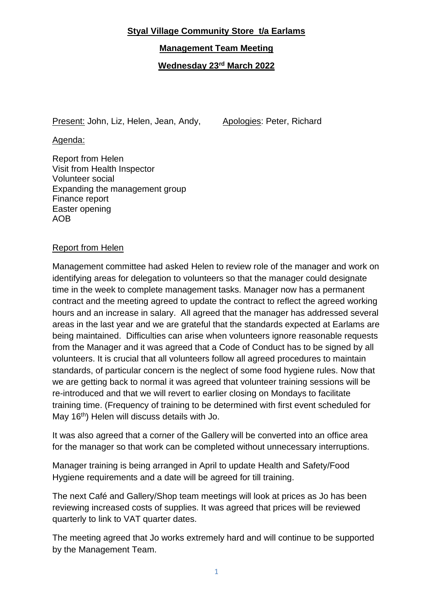## **Styal Village Community Store t/a Earlams**

**Management Team Meeting**

**Wednesday 23rd March 2022**

Present: John, Liz, Helen, Jean, Andy, Apologies: Peter, Richard

Agenda:

Report from Helen Visit from Health Inspector Volunteer social Expanding the management group Finance report Easter opening AOB

# Report from Helen

Management committee had asked Helen to review role of the manager and work on identifying areas for delegation to volunteers so that the manager could designate time in the week to complete management tasks. Manager now has a permanent contract and the meeting agreed to update the contract to reflect the agreed working hours and an increase in salary. All agreed that the manager has addressed several areas in the last year and we are grateful that the standards expected at Earlams are being maintained. Difficulties can arise when volunteers ignore reasonable requests from the Manager and it was agreed that a Code of Conduct has to be signed by all volunteers. It is crucial that all volunteers follow all agreed procedures to maintain standards, of particular concern is the neglect of some food hygiene rules. Now that we are getting back to normal it was agreed that volunteer training sessions will be re-introduced and that we will revert to earlier closing on Mondays to facilitate training time. (Frequency of training to be determined with first event scheduled for May 16<sup>th</sup>) Helen will discuss details with Jo.

It was also agreed that a corner of the Gallery will be converted into an office area for the manager so that work can be completed without unnecessary interruptions.

Manager training is being arranged in April to update Health and Safety/Food Hygiene requirements and a date will be agreed for till training.

The next Café and Gallery/Shop team meetings will look at prices as Jo has been reviewing increased costs of supplies. It was agreed that prices will be reviewed quarterly to link to VAT quarter dates.

The meeting agreed that Jo works extremely hard and will continue to be supported by the Management Team.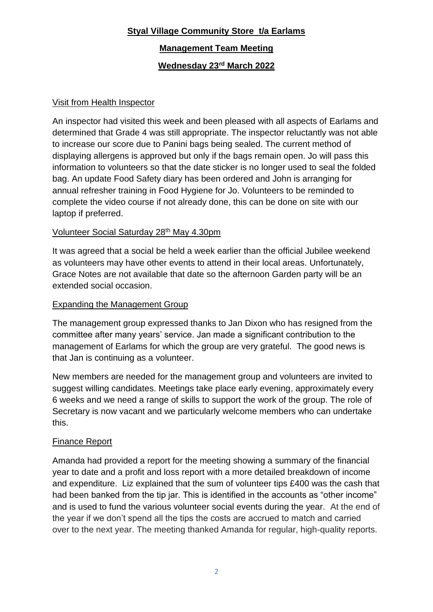# **Styal Village Community Store t/a Earlams**

**Management Team Meeting**

**Wednesday 23rd March 2022**

## Visit from Health Inspector

An inspector had visited this week and been pleased with all aspects of Earlams and determined that Grade 4 was still appropriate. The inspector reluctantly was not able to increase our score due to Panini bags being sealed. The current method of displaying allergens is approved but only if the bags remain open. Jo will pass this information to volunteers so that the date sticker is no longer used to seal the folded bag. An update Food Safety diary has been ordered and John is arranging for annual refresher training in Food Hygiene for Jo. Volunteers to be reminded to complete the video course if not already done, this can be done on site with our laptop if preferred.

# Volunteer Social Saturday 28<sup>th</sup> May 4.30pm

It was agreed that a social be held a week earlier than the official Jubilee weekend as volunteers may have other events to attend in their local areas. Unfortunately, Grace Notes are not available that date so the afternoon Garden party will be an extended social occasion.

## Expanding the Management Group

The management group expressed thanks to Jan Dixon who has resigned from the committee after many years' service. Jan made a significant contribution to the management of Earlams for which the group are very grateful. The good news is that Jan is continuing as a volunteer.

New members are needed for the management group and volunteers are invited to suggest willing candidates. Meetings take place early evening, approximately every 6 weeks and we need a range of skills to support the work of the group. The role of Secretary is now vacant and we particularly welcome members who can undertake this.

#### Finance Report

Amanda had provided a report for the meeting showing a summary of the financial year to date and a profit and loss report with a more detailed breakdown of income and expenditure. Liz explained that the sum of volunteer tips £400 was the cash that had been banked from the tip jar. This is identified in the accounts as "other income" and is used to fund the various volunteer social events during the year. At the end of the year if we don't spend all the tips the costs are accrued to match and carried over to the next year. The meeting thanked Amanda for regular, high-quality reports.